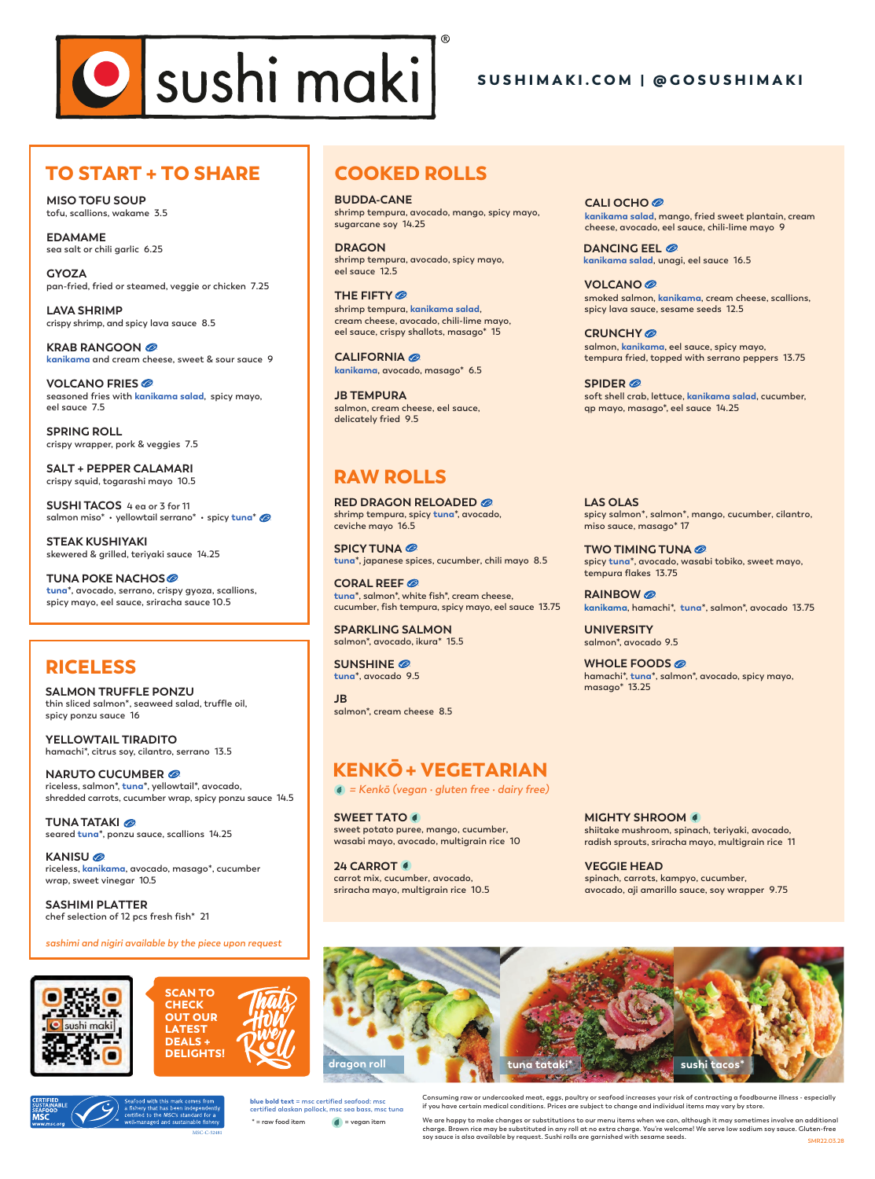# O sushi maki

## SUSHIMAKI.COM | @GOSUSHIMAKI

# TO START + TO SHARE

**MISO TOFU SOUP tofu, scallions, wakame 3.5**

**EDAMAME sea salt or chili garlic 6.25**

**GYOZA pan-fried, fried or steamed, veggie or chicken 7.25**

**LAVA SHRIMP crispy shrimp, and spicy lava sauce 8.5**

**KRAB RANGOON kanikama and cream cheese, sweet & sour sauce 9**

**VOLCANO FRIES seasoned fries with kanikama salad, spicy mayo, eel sauce 7.5**

**SPRING ROLL crispy wrapper, pork & veggies 7.5**

**SALT + PEPPER CALAMARI crispy squid, togarashi mayo 10.5**

**SUSHI TACOS 4 ea or 3 for 11 salmon miso\* • yellowtail serrano\* • spicy tuna\***

**STEAK KUSHIYAKI skewered & grilled, teriyaki sauce 14.25**

**TUNA POKE NACHOS tuna\*, avocado, serrano, crispy gyoza, scallions, spicy mayo, eel sauce, sriracha sauce 10.5**

## RICELESS

**SALMON TRUFFLE PONZU thin sliced salmon\*, seaweed salad, truffle oil, spicy ponzu sauce 16**

**YELLOWTAIL TIRADITO hamachi\*, citrus soy, cilantro, serrano 13.5**

**NARUTO CUCUMBER riceless, salmon\*, tuna\*, yellowtail\*, avocado, shredded carrots, cucumber wrap, spicy ponzu sauce 14.5**

**TUNA TATAKI seared tuna\*, ponzu sauce, scallions 14.25**

**KANISU riceless, kanikama, avocado, masago\*, cucumber wrap, sweet vinegar 10.5**

**SASHIMI PLATTER chef selection of 12 pcs fresh fish\* 21**

**sashimi and nigiri available by the piece upon request**







# COOKED ROLLS

**BUDDA-CANE shrimp tempura, avocado, mango, spicy mayo, sugarcane soy 14.25**

**DRAGON shrimp tempura, avocado, spicy mayo, eel sauce 12.5**

**THE FIFTY shrimp tempura, kanikama salad, cream cheese, avocado, chili-lime mayo, eel sauce, crispy shallots, masago\* 15**

**CALIFORNIA kanikama, avocado, masago\* 6.5**

**JB TEMPURA salmon, cream cheese, eel sauce, delicately fried 9.5**

## RAW ROLLS

**RED DRAGON RELOADED shrimp tempura, spicy tuna\*, avocado, ceviche mayo 16.5**

**SPICY TUNA tuna\*, japanese spices, cucumber, chili mayo 8.5**

**CORAL REEF tuna\*, salmon\*, white fish\*, cream cheese, cucumber, fish tempura, spicy mayo, eel sauce 13.75** 

**SPARKLING SALMON salmon\*, avocado, ikura\* 15.5**

**SUNSHINE tuna\*, avocado 9.5**

**JB salmon\*, cream cheese 8.5**

# KENKŌ+ VEGETARIAN

**= Kenkō (vegan • gluten free • dairy free)** 

**SWEET TATO sweet potato puree, mango, cucumber, wasabi mayo, avocado, multigrain rice 10**

**24 CARROT carrot mix, cucumber, avocado, sriracha mayo, multigrain rice 10.5**

**CALI OCHO kanikama salad, mango, fried sweet plantain, cream cheese, avocado, eel sauce, chili-lime mayo 9**

**DANCING EEL kanikama salad, unagi, eel sauce 16.5**

**VOLCANO smoked salmon, kanikama, cream cheese, scallions, spicy lava sauce, sesame seeds 12.5**

**CRUNCHY salmon, kanikama, eel sauce, spicy mayo, tempura fried, topped with serrano peppers 13.75**

**SPIDER soft shell crab, lettuce, kanikama salad, cucumber, qp mayo, masago\*, eel sauce 14.25**

**LAS OLAS spicy salmon\*, salmon\*, mango, cucumber, cilantro, miso sauce, masago\* 17**

**TWO TIMING TUNA spicy tuna\*, avocado, wasabi tobiko, sweet mayo, tempura flakes 13.75**

**RAINBOW kanikama, hamachi\*, tuna\*, salmon\*, avocado 13.75**

**UNIVERSITY salmon\*, avocado 9.5**

**WHOLE FOODS hamachi\*, tuna\*, salmon\*, avocado, spicy mayo, masago\* 13.25**

**MIGHTY SHROOM shiitake mushroom, spinach, teriyaki, avocado, radish sprouts, sriracha mayo, multigrain rice 11**

**VEGGIE HEAD spinach, carrots, kampyo, cucumber, avocado, aji amarillo sauce, soy wrapper 9.75**



**certified alaskan pollock, msc sea bass, msc tuna** \* = raw food item **d** = vegan item

**Consuming raw or undercooked meat, eggs, poultry or seafood increases your risk of contracting a foodbourne illness - especially if you have certain medical conditions. Prices are subject to change and individual items may vary by store. blue bold text = msc certified seafood: msc** 

> **SMR22.03.28** We are happy to make changes or substitutions to our menu items when we can, although it may sometimes involve an add charge. Brown rice may be substituted in any roll at no extra charge. You're welcome! We serve low sodium soy sauce. Gluten-free<br>soy sauce is also available by request. Sushi rolls are garnished with sesame seeds.